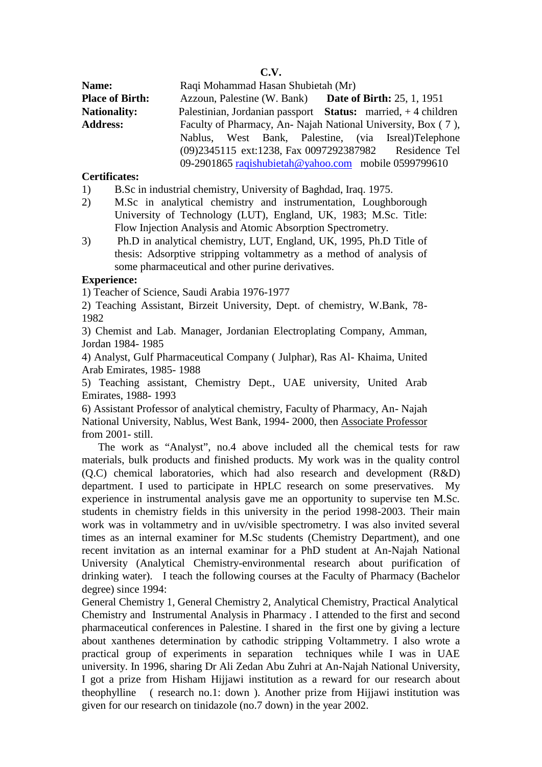**C.V.**

**Name:** Raqi Mohammad Hasan Shubietah (Mr) **Place of Birth:** Azzoun, Palestine (W. Bank) **Date of Birth:** 25, 1, 1951 **Nationality:** Palestinian, Jordanian passport **Status:** married, + 4 children Address: Faculty of Pharmacy, An- Najah National University, Box (7), Nablus, West Bank, Palestine, (via Isreal)Telephone (09)2345115 ext:1238, Fax 0097292387982 Residence Tel 09-2901865 raqishubietah@yahoo.com mobile 0599799610

## **Certificates:**

- 1) B.Sc in industrial chemistry, University of Baghdad, Iraq. 1975.
- 2) M.Sc in analytical chemistry and instrumentation, Loughborough University of Technology (LUT), England, UK, 1983; M.Sc. Title: Flow Injection Analysis and Atomic Absorption Spectrometry.
- 3) Ph.D in analytical chemistry, LUT, England, UK, 1995, Ph.D Title of thesis: Adsorptive stripping voltammetry as a method of analysis of some pharmaceutical and other purine derivatives.

## **Experience:**

1) Teacher of Science, Saudi Arabia 1976-1977

2) Teaching Assistant, Birzeit University, Dept. of chemistry, W.Bank, 78- 1982

3) Chemist and Lab. Manager, Jordanian Electroplating Company, Amman, Jordan 1984- 1985

4) Analyst, Gulf Pharmaceutical Company ( Julphar), Ras Al- Khaima, United Arab Emirates, 1985- 1988

5) Teaching assistant, Chemistry Dept., UAE university, United Arab Emirates, 1988- 1993

6) Assistant Professor of analytical chemistry, Faculty of Pharmacy, An- Najah National University, Nablus, West Bank, 1994- 2000, then Associate Professor from 2001- still.

 The work as "Analyst", no.4 above included all the chemical tests for raw materials, bulk products and finished products. My work was in the quality control (Q.C) chemical laboratories, which had also research and development (R&D) department. I used to participate in HPLC research on some preservatives. My experience in instrumental analysis gave me an opportunity to supervise ten M.Sc. students in chemistry fields in this university in the period 1998-2003. Their main work was in voltammetry and in uv/visible spectrometry. I was also invited several times as an internal examiner for M.Sc students (Chemistry Department), and one recent invitation as an internal examinar for a PhD student at An-Najah National University (Analytical Chemistry-environmental research about purification of drinking water). I teach the following courses at the Faculty of Pharmacy (Bachelor degree) since 1994:

 General Chemistry 1, General Chemistry 2, Analytical Chemistry, Practical Analytical Chemistry and Instrumental Analysis in Pharmacy . I attended to the first and second pharmaceutical conferences in Palestine. I shared in the first one by giving a lecture about xanthenes determination by cathodic stripping Voltammetry. I also wrote a practical group of experiments in separation techniques while I was in UAE university. In 1996, sharing Dr Ali Zedan Abu Zuhri at An-Najah National University, I got a prize from Hisham Hijjawi institution as a reward for our research about theophylline ( research no.1: down ). Another prize from Hijjawi institution was given for our research on tinidazole (no.7 down) in the year 2002.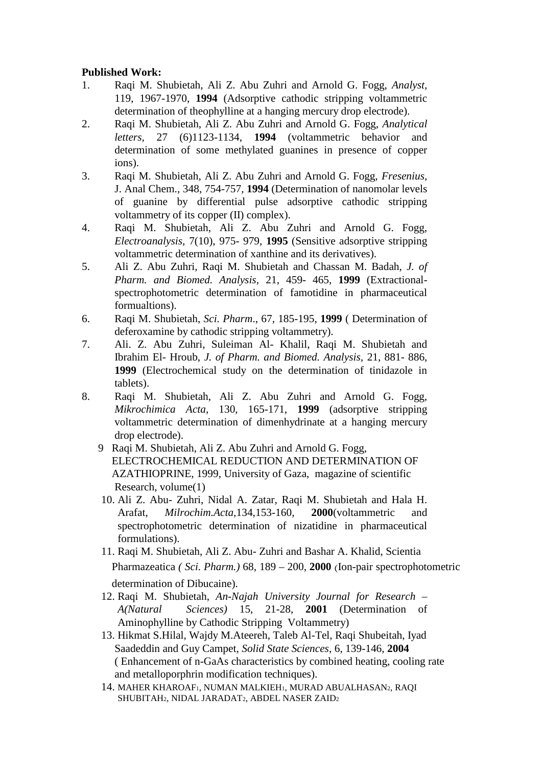## **Published Work:**

- 1. Raqi M. Shubietah, Ali Z. Abu Zuhri and Arnold G. Fogg, *Analyst,* 119, 1967-1970, **1994** (Adsorptive cathodic stripping voltammetric determination of theophylline at a hanging mercury drop electrode).
- 2. Raqi M. Shubietah, Ali Z. Abu Zuhri and Arnold G. Fogg, *Analytical letters,* 27 (6)1123-1134, **1994** (voltammetric behavior and determination of some methylated guanines in presence of copper ions).
- 3. Raqi M. Shubietah, Ali Z. Abu Zuhri and Arnold G. Fogg, *Fresenius,* J. Anal Chem., 348, 754-757, **1994** (Determination of nanomolar levels of guanine by differential pulse adsorptive cathodic stripping voltammetry of its copper (II) complex).
- 4. Raqi M. Shubietah, Ali Z. Abu Zuhri and Arnold G. Fogg, *Electroanalysis,* 7(10), 975- 979, **1995** (Sensitive adsorptive stripping voltammetric determination of xanthine and its derivatives).
- 5. Ali Z. Abu Zuhri, Raqi M. Shubietah and Chassan M. Badah, *J. of Pharm. and Biomed. Analysis,* 21, 459- 465, **1999** (Extractional spectrophotometric determination of famotidine in pharmaceutical formualtions).
- 6. Raqi M. Shubietah, *Sci. Pharm*., 67, 185-195, **1999** ( Determination of deferoxamine by cathodic stripping voltammetry).
- 7. Ali. Z. Abu Zuhri, Suleiman Al- Khalil, Raqi M. Shubietah and Ibrahim El- Hroub, *J. of Pharm. and Biomed. Analysis,* 21, 881- 886, **1999** (Electrochemical study on the determination of tinidazole in tablets).
- 8. Raqi M. Shubietah, Ali Z. Abu Zuhri and Arnold G. Fogg, *Mikrochimica Acta*, 130, 165-171, **1999** (adsorptive stripping voltammetric determination of dimenhydrinate at a hanging mercury drop electrode).
	- 9 Raqi M. Shubietah, Ali Z. Abu Zuhri and Arnold G. Fogg, ELECTROCHEMICAL REDUCTION AND DETERMINATION OF AZATHIOPRINE, 1999, University of Gaza, magazine of scientific Research, volume(1)
	- 10. Ali Z. Abu- Zuhri, Nidal A. Zatar, Raqi M. Shubietah and Hala H. Arafat, *Milrochim.Acta,*134,153-160, **2000**(voltammetric and spectrophotometric determination of nizatidine in pharmaceutical formulations).
	- 11. Raqi M. Shubietah, Ali Z. Abu- Zuhri and Bashar A. Khalid, Scientia Pharmazeatica *( Sci. Pharm.)* 68, 189 – 200, **2000** (Ion-pair spectrophotometric determination of Dibucaine).
	- 12. Raqi M. Shubietah, *An-Najah University Journal for Research – A(Natural Sciences)* 15, 21-28, **2001** (Determination of Aminophylline by Cathodic Stripping Voltammetry)
	- 13. Hikmat S.Hilal, Wajdy M.Ateereh, Taleb Al-Tel, Raqi Shubeitah, Iyad Saadeddin and Guy Campet, *Solid State Sciences*, 6, 139-146, **2004** ( Enhancement of n-GaAs characteristics by combined heating, cooling rate and metalloporphrin modification techniques).
	- 14. MAHER KHAROAF1, NUMAN MALKIEH1, MURAD ABUALHASAN2, RAQI SHUBITAH2, NIDAL JARADAT2, ABDEL NASER ZAID2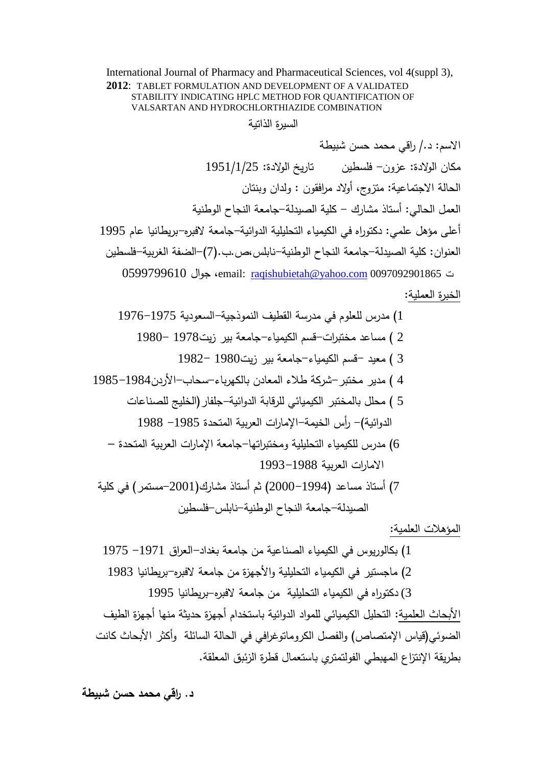International Journal of Pharmacy and Pharmaceutical Sciences, vol 4(suppl 3), **2012**: TABLET FORMULATION AND DEVELOPMENT OF A VALIDATED STABILITY INDICATING HPLC METHOD FOR QUANTIFICATION OF VALSARTAN AND HYDROCHLORTHIAZIDE COMBINATION

السیرة الذاتیة

الاسم: د/. راقي محمد حسن شبیطة مكان الولادة: عزون- فلسطین تاریخ الولادة: 1951/1/25 الحالة الاجتماعیة: متزو ج، أولاد مرافقون : ولدان وبنتان العمل الحالي: أستاذ مشارك - كلیة الصیدلة-جامعة النجاح الوطنیة أعلى مؤهل علمي: دكتوراه في الكیمیاء التحلیلیة الدوائیة-جامعة لافبره-بریطانیا عام 1995 العنوان: كلیة الصیدلة-جامعة النجاح الوطنیة-نابلس،ص.ب.(7)-الضفة الغربیة-فلسطین 0599799610 جوال ،email: raqishubietah@yahoo.com 0097092901865 ت الخبرة العملیة:

1) مدرس للعلوم في مدرسة القطیف النموذجیة-السعودیة 1976-1975 2 ) مساعد مختبرات-قسم الكیمیاء-جامعة بیر زیت1978 1980- 3 ) معید -قسم الكیمیاء-جامعة بیر زیت1980 1982- 4 ) مدیر مختبر-شركة طلاء المعادن بالكهرباء-سحاب-الأردن1985-1984 5 ) محلل بالمختبر الكیمیائي للرقابة الدوائیة-جلفار(الخلیج للصناعات 6) مدرس للكیمیاء التحلیلیة ومختبراتها-جامعة الإمارات العربیة المتحدة – الدوائیة)- رأس الخیمة-الإمارات العربیة المتحدة -<sup>1985</sup> <sup>1988</sup> الامارات العربیة 1993-1988 7) أستاذ مساعد (2000-1994) ثم أستاذ مشارك(-2001مستمر) في كلیة الصیدلة-جامعة النجاح الوطنیة-نابلس-فلسطین

المؤهلات العلمیة:

1) بكالوریوس في الكیمیاء الصناعیة من جامعة بغداد-العراق -1971 1975 2) ماجستیر في الكیمیاء التحلیلیة والأجهزة من جامعة لافبره-بریطانیا 1983 3) دكتوراه في الكیمیاء التحلیلیة من جامعة لافبره-بریطانیا 1995 الأبحاث العلمیة: التحلیل الكیمیائي للمواد الدوائیة باستخدام أجهزة حدیثة منها أجهزة الطیف الضوئي(قياس الإمتصاص) والفصل الكروماتوغرافي في الحالة السائلة وأكثر الأبحاث كانت<br>بطريقة الإنتزاع المهبطي الفولتمتري باستعمال قطرة الزئبق المعلقة.

**د. راقي محمد حسن شبیطة**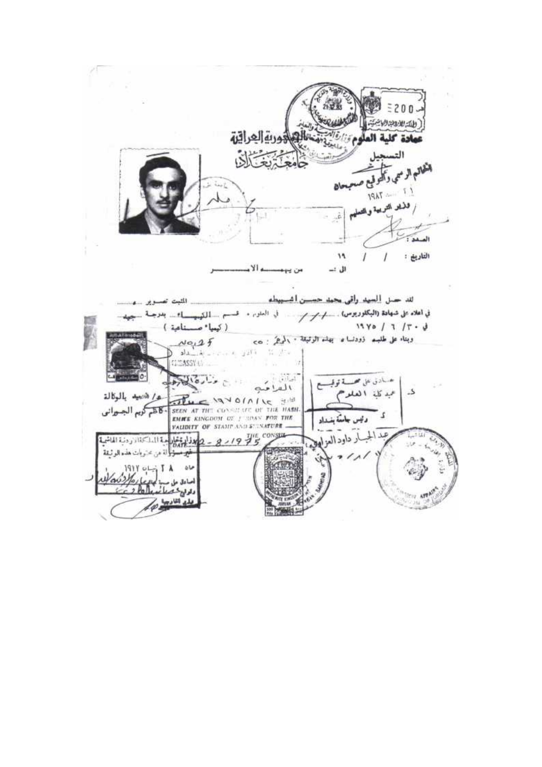